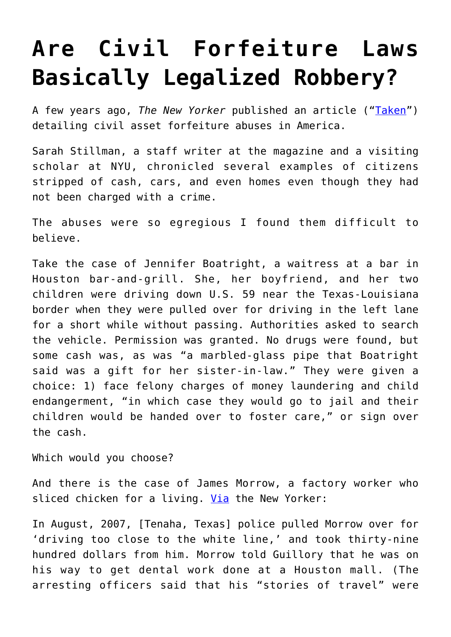## **[Are Civil Forfeiture Laws](https://intellectualtakeout.org/2016/06/are-civil-forfeiture-laws-basically-legalized-robbery/) [Basically Legalized Robbery?](https://intellectualtakeout.org/2016/06/are-civil-forfeiture-laws-basically-legalized-robbery/)**

A few years ago, *The New Yorker* published an article (["Taken](http://www.newyorker.com/magazine/2013/08/12/taken)") detailing civil asset forfeiture abuses in America.

Sarah Stillman, a staff writer at the magazine and a visiting scholar at NYU, chronicled several examples of citizens stripped of cash, cars, and even homes even though they had not been charged with a crime.

The abuses were so egregious I found them difficult to believe.

Take the case of Jennifer Boatright, a waitress at a bar in Houston bar-and-grill. She, her boyfriend, and her two children were driving down U.S. 59 near the Texas-Louisiana border when they were pulled over for driving in the left lane for a short while without passing. Authorities asked to search the vehicle. Permission was granted. No drugs were found, but some cash was, as was "a marbled-glass pipe that Boatright said was a gift for her sister-in-law." They were given a choice: 1) face felony charges of money laundering and child endangerment, "in which case they would go to jail and their children would be handed over to foster care," or sign over the cash.

Which would you choose?

And there is the case of James Morrow, a factory worker who sliced chicken for a living. [Via](http://www.newyorker.com/magazine/2013/08/12/taken) the New Yorker:

In August, 2007, [Tenaha, Texas] police pulled Morrow over for 'driving too close to the white line,' and took thirty-nine hundred dollars from him. Morrow told Guillory that he was on his way to get dental work done at a Houston mall. (The arresting officers said that his "stories of travel" were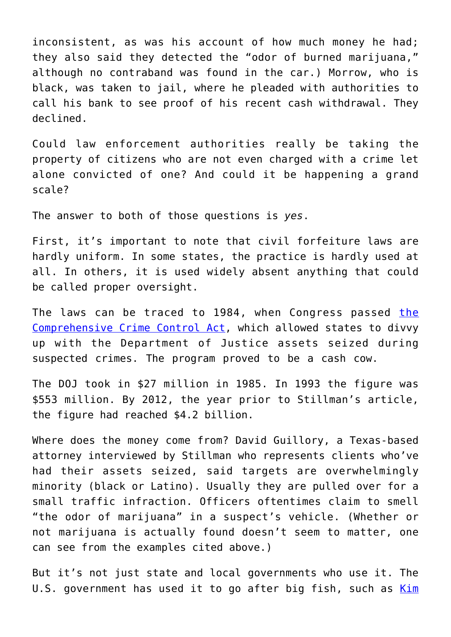inconsistent, as was his account of how much money he had; they also said they detected the "odor of burned marijuana," although no contraband was found in the car.) Morrow, who is black, was taken to jail, where he pleaded with authorities to call his bank to see proof of his recent cash withdrawal. They declined.

Could law enforcement authorities really be taking the property of citizens who are not even charged with a crime let alone convicted of one? And could it be happening a grand scale?

The answer to both of those questions is *yes*.

First, it's important to note that civil forfeiture laws are hardly uniform. In some states, the practice is hardly used at all. In others, it is used widely absent anything that could be called proper oversight.

The laws can be traced to 1984, when Congress passed [the](https://www.congress.gov/bill/98th-congress/senate-bill/1762) [Comprehensive Crime Control Act](https://www.congress.gov/bill/98th-congress/senate-bill/1762), which allowed states to divvy up with the Department of Justice assets seized during suspected crimes. The program proved to be a cash cow.

The DOJ took in \$27 million in 1985. In 1993 the figure was \$553 million. By 2012, the year prior to Stillman's article, the figure had reached \$4.2 billion.

Where does the money come from? David Guillory, a Texas-based attorney interviewed by Stillman who represents clients who've had their assets seized, said targets are overwhelmingly minority (black or Latino). Usually they are pulled over for a small traffic infraction. Officers oftentimes claim to smell "the odor of marijuana" in a suspect's vehicle. (Whether or not marijuana is actually found doesn't seem to matter, one can see from the examples cited above.)

But it's not just state and local governments who use it. The U.S. government has used it to go after big fish, such as [Kim](http://kim.com/)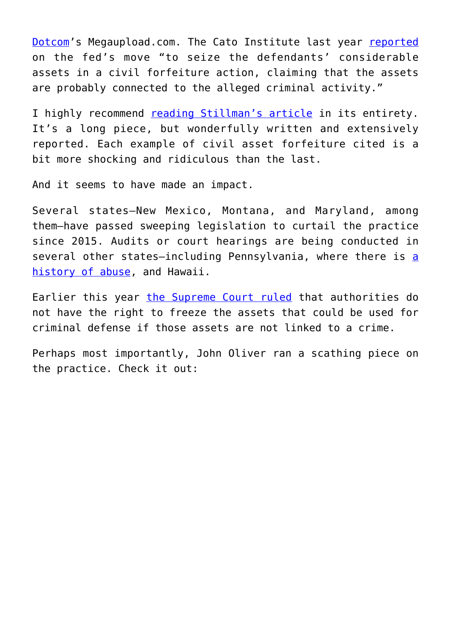[Dotcom'](http://kim.com/)s Megaupload.com. The Cato Institute last year [reported](http://www.cato.org/blog/you-thought-civil-asset-forfeiture-was-bad-enough) on the fed's move "to seize the defendants' considerable assets in a civil forfeiture action, claiming that the assets are probably connected to the alleged criminal activity."

I highly recommend [reading Stillman's article](http://www.newyorker.com/magazine/2013/08/12/taken) in its entirety. It's a long piece, but wonderfully written and extensively reported. Each example of civil asset forfeiture cited is a bit more shocking and ridiculous than the last.

And it seems to have made an impact.

Several states—New Mexico, Montana, and Maryland, among them—have passed sweeping legislation to curtail the practice since 2015. Audits or court hearings are being conducted in several other states—including Pennsylvania, where there is [a](http://articles.philly.com/2016-05-12/news/73017855_1_forfeiture-innocent-owner-law-enforcement) [history of abuse,](http://articles.philly.com/2016-05-12/news/73017855_1_forfeiture-innocent-owner-law-enforcement) and Hawaii.

Earlier this year [the Supreme Court ruled](http://www.nytimes.com/2016/03/31/us/politics/supreme-court-rules-against-freezing-assets-not-tied-to-crimes.html?_r=0) that authorities do not have the right to freeze the assets that could be used for criminal defense if those assets are not linked to a crime.

Perhaps most importantly, John Oliver ran a scathing piece on the practice. Check it out: